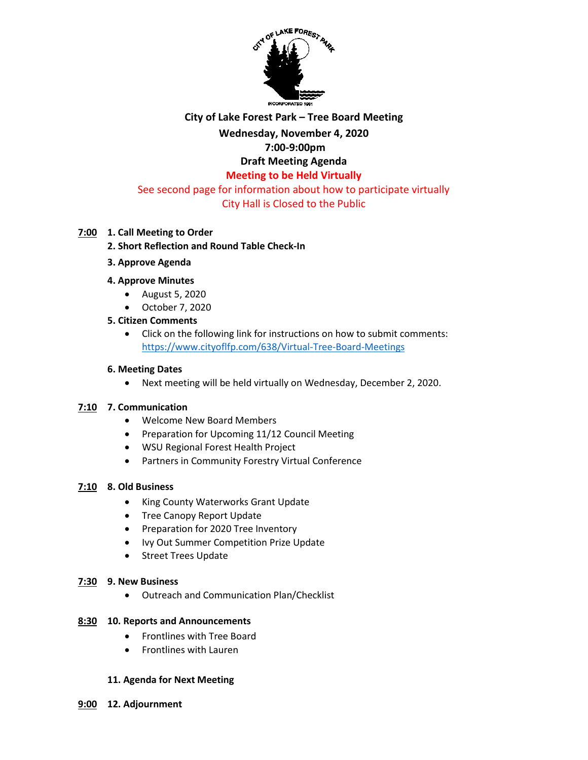

# **City of Lake Forest Park – Tree Board Meeting**

## **Wednesday, November 4, 2020**

## **7:00-9:00pm**

# **Draft Meeting Agenda**

# **Meeting to be Held Virtually**

#### See second page for information about how to participate virtually City Hall is Closed to the Public

#### **7:00 1. Call Meeting to Order**

## **2. Short Reflection and Round Table Check-In**

**3. Approve Agenda**

#### **4. Approve Minutes**

- August 5, 2020
- October 7, 2020

#### **5. Citizen Comments**

 Click on the following link for instructions on how to submit comments: <https://www.cityoflfp.com/638/Virtual-Tree-Board-Meetings>

#### **6. Meeting Dates**

Next meeting will be held virtually on Wednesday, December 2, 2020.

#### **7:10 7. Communication**

- Welcome New Board Members
- Preparation for Upcoming 11/12 Council Meeting
- WSU Regional Forest Health Project
- Partners in Community Forestry Virtual Conference

#### **7:10 8. Old Business**

- King County Waterworks Grant Update
- Tree Canopy Report Update
- Preparation for 2020 Tree Inventory
- Ivy Out Summer Competition Prize Update
- Street Trees Update

#### **7:30 9. New Business**

Outreach and Communication Plan/Checklist

#### **8:30 10. Reports and Announcements**

- Frontlines with Tree Board
- Frontlines with Lauren

#### **11. Agenda for Next Meeting**

**9:00 12. Adjournment**